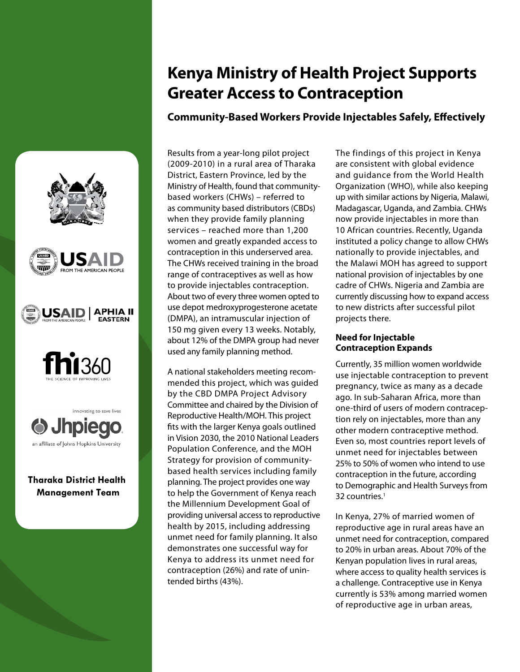# **Kenya Ministry of Health Project Supports Greater Access to Contraception**

**Community-Based Workers Provide Injectables Safely, Effectively**

Results from a year-long pilot project (2009-2010) in a rural area of Tharaka District, Eastern Province, led by the Ministry of Health, found that communitybased workers (CHWs) – referred to as community based distributors (CBDs) when they provide family planning services – reached more than 1,200 women and greatly expanded access to contraception in this underserved area. The CHWs received training in the broad range of contraceptives as well as how to provide injectables contraception. About two of every three women opted to use depot medroxyprogesterone acetate (DMPA), an intramuscular injection of 150 mg given every 13 weeks. Notably, about 12% of the DMPA group had never used any family planning method.

A national stakeholders meeting recommended this project, which was guided by the CBD DMPA Project Advisory Committee and chaired by the Division of Reproductive Health/MOH. This project fits with the larger Kenya goals outlined in Vision 2030, the 2010 National Leaders Population Conference, and the MOH Strategy for provision of communitybased health services including family planning. The project provides one way to help the Government of Kenya reach the Millennium Development Goal of providing universal access to reproductive health by 2015, including addressing unmet need for family planning. It also demonstrates one successful way for Kenya to address its unmet need for contraception (26%) and rate of unintended births (43%).

**Tharaka District Health Management Team**

an affiliate of Johns Hopkins University

**b** Jhpied

innovating to save lives

**SAID** 

**APHIA II** 

**EASTERN** 

The findings of this project in Kenya are consistent with global evidence and guidance from the World Health Organization (WHO), while also keeping up with similar actions by Nigeria, Malawi, Madagascar, Uganda, and Zambia. CHWs now provide injectables in more than 10 African countries. Recently, Uganda instituted a policy change to allow CHWs nationally to provide injectables, and the Malawi MOH has agreed to support national provision of injectables by one cadre of CHWs. Nigeria and Zambia are currently discussing how to expand access to new districts after successful pilot projects there.

### **Need for Injectable Contraception Expands**

Currently, 35 million women worldwide use injectable contraception to prevent pregnancy, twice as many as a decade ago. In sub-Saharan Africa, more than one-third of users of modern contraception rely on injectables, more than any other modern contraceptive method. Even so, most countries report levels of unmet need for injectables between 25% to 50% of women who intend to use contraception in the future, according to Demographic and Health Surveys from 32 countries.<sup>1</sup>

In Kenya, 27% of married women of reproductive age in rural areas have an unmet need for contraception, compared to 20% in urban areas. About 70% of the Kenyan population lives in rural areas, where access to quality health services is a challenge. Contraceptive use in Kenya currently is 53% among married women of reproductive age in urban areas,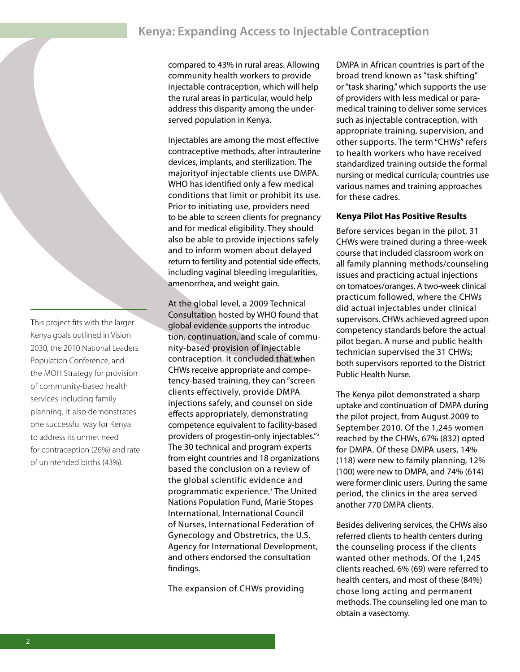## **Kenya: Expanding Access to Injectable Contraception**

compared to 43% in rural areas. Allowing community health workers to provide injectable contraception, which will help the rural areas in particular, would help address this disparity among the underserved population in Kenya.

Injectables are among the most effective contraceptive methods, after intrauterine devices, implants, and sterilization. The majorityof injectable clients use DMPA. WHO has identified only a few medical conditions that limit or prohibit its use. Prior to initiating use, providers need to be able to screen clients for pregnancy and for medical eligibility. They should also be able to provide injections safely and to inform women about delayed return to fertility and potential side effects, including vaginal bleeding irregularities, amenorrhea, and weight gain.

At the global level, a 2009 Technical Consultation hosted by WHO found that global evidence supports the introduction, continuation, and scale of community-based provision of injectable contraception. It concluded that when CHWs receive appropriate and competency-based training, they can "screen clients effectively, provide DMPA injections safely, and counsel on side effects appropriately, demonstrating competence equivalent to facility-based providers of progestin-only injectables."2 The 30 technical and program experts from eight countries and 18 organizations based the conclusion on a review of the global scientific evidence and programmatic experience.3 The United Nations Population Fund, Marie Stopes International, International Council of Nurses, International Federation of Gynecology and Obstretrics, the U.S. Agency for International Development, and others endorsed the consultation findings.

The expansion of CHWs providing

DMPA in African countries is part of the broad trend known as "task shifting" or "task sharing," which supports the use of providers with less medical or paramedical training to deliver some services such as injectable contraception, with appropriate training, supervision, and other supports. The term "CHWs" refers to health workers who have received standardized training outside the formal nursing or medical curricula; countries use various names and training approaches for these cadres.

#### **Kenya Pilot Has Positive Results**

Before services began in the pilot, 31 CHWs were trained during a three-week course that included classroom work on all family planning methods/counseling issues and practicing actual injections on tomatoes/oranges. A two-week clinical practicum followed, where the CHWs did actual injectables under clinical supervisors. CHWs achieved agreed upon competency standards before the actual pilot began. A nurse and public health technician supervised the 31 CHWs; both supervisors reported to the District Public Health Nurse.

The Kenya pilot demonstrated a sharp uptake and continuation of DMPA during the pilot project, from August 2009 to September 2010. Of the 1,245 women reached by the CHWs, 67% (832) opted for DMPA. Of these DMPA users, 14% (118) were new to family planning, 12% (100) were new to DMPA, and 74% (614) were former clinic users. During the same period, the clinics in the area served another 770 DMPA clients.

Besides delivering services, the CHWs also referred clients to health centers during the counseling process if the clients wanted other methods. Of the 1,245 clients reached, 6% (69) were referred to health centers, and most of these (84%) chose long acting and permanent methods. The counseling led one man to obtain a vasectomy.

This project fits with the larger Kenya goals outlined in Vision 2030, the 2010 National Leaders Population Conference, and the MOH Strategy for provision of community-based health services including family planning. It also demonstrates one successful way for Kenya to address its unmet need for contraception (26%) and rate of unintended births (43%).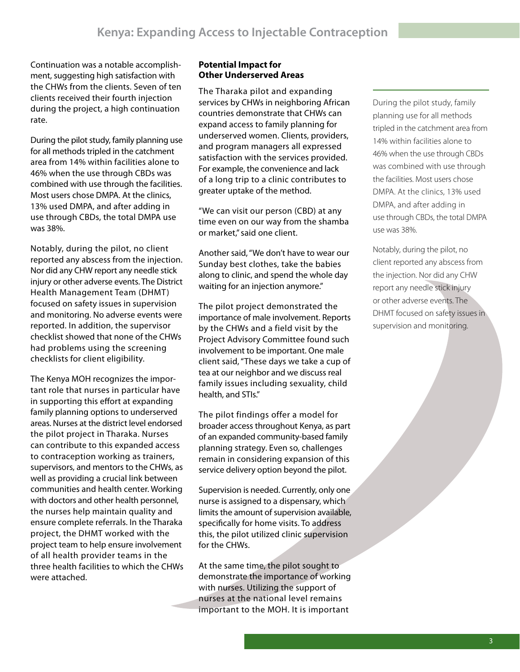Continuation was a notable accomplishment, suggesting high satisfaction with the CHWs from the clients. Seven of ten clients received their fourth injection during the project, a high continuation rate.

During the pilot study, family planning use for all methods tripled in the catchment area from 14% within facilities alone to 46% when the use through CBDs was combined with use through the facilities. Most users chose DMPA. At the clinics, 13% used DMPA, and after adding in use through CBDs, the total DMPA use was 38%.

Notably, during the pilot, no client reported any abscess from the injection. Nor did any CHW report any needle stick injury or other adverse events. The District Health Management Team (DHMT) focused on safety issues in supervision and monitoring. No adverse events were reported. In addition, the supervisor checklist showed that none of the CHWs had problems using the screening checklists for client eligibility.

The Kenya MOH recognizes the important role that nurses in particular have in supporting this effort at expanding family planning options to underserved areas. Nurses at the district level endorsed the pilot project in Tharaka. Nurses can contribute to this expanded access to contraception working as trainers, supervisors, and mentors to the CHWs, as well as providing a crucial link between communities and health center. Working with doctors and other health personnel, the nurses help maintain quality and ensure complete referrals. In the Tharaka project, the DHMT worked with the project team to help ensure involvement of all health provider teams in the three health facilities to which the CHWs were attached.

#### **Potential Impact for Other Underserved Areas**

The Tharaka pilot and expanding services by CHWs in neighboring African countries demonstrate that CHWs can expand access to family planning for underserved women. Clients, providers, and program managers all expressed satisfaction with the services provided. For example, the convenience and lack of a long trip to a clinic contributes to greater uptake of the method.

"We can visit our person (CBD) at any time even on our way from the shamba or market," said one client.

Another said, "We don't have to wear our Sunday best clothes, take the babies along to clinic, and spend the whole day waiting for an injection anymore."

The pilot project demonstrated the importance of male involvement. Reports by the CHWs and a field visit by the Project Advisory Committee found such involvement to be important. One male client said, "These days we take a cup of tea at our neighbor and we discuss real family issues including sexuality, child health, and STIs."

The pilot findings offer a model for broader access throughout Kenya, as part of an expanded community-based family planning strategy. Even so, challenges remain in considering expansion of this service delivery option beyond the pilot.

Supervision is needed. Currently, only one nurse is assigned to a dispensary, which limits the amount of supervision available, specifically for home visits. To address this, the pilot utilized clinic supervision for the CHWs.

At the same time, the pilot sought to demonstrate the importance of working with nurses. Utilizing the support of nurses at the national level remains important to the MOH. It is important

During the pilot study, family planning use for all methods tripled in the catchment area from 14% within facilities alone to 46% when the use through CBDs was combined with use through the facilities. Most users chose DMPA. At the clinics, 13% used DMPA, and after adding in use through CBDs, the total DMPA use was 38%.

Notably, during the pilot, no client reported any abscess from the injection. Nor did any CHW report any needle stick injury or other adverse events. The DHMT focused on safety issues in supervision and monitoring.